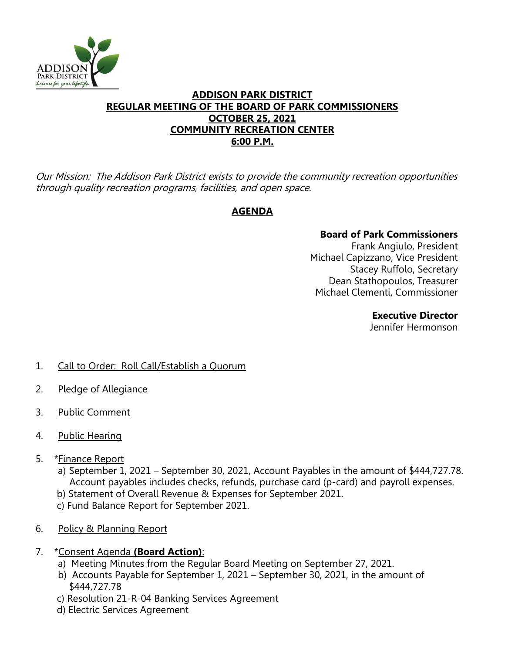

# **ADDISON PARK DISTRICT REGULAR MEETING OF THE BOARD OF PARK COMMISSIONERS OCTOBER 25, 2021 COMMUNITY RECREATION CENTER 6:00 P.M.**

Our Mission: The Addison Park District exists to provide the community recreation opportunities through quality recreation programs, facilities, and open space.

# **AGENDA**

# **Board of Park Commissioners**

Frank Angiulo, President Michael Capizzano, Vice President Stacey Ruffolo, Secretary Dean Stathopoulos, Treasurer Michael Clementi, Commissioner

## **Executive Director**

Jennifer Hermonson

- 1. Call to Order: Roll Call/Establish a Quorum
- 2. Pledge of Allegiance
- 3. Public Comment
- 4. Public Hearing
- 5. \*Finance Report
	- a) September 1, 2021 September 30, 2021, Account Payables in the amount of \$444,727.78. Account payables includes checks, refunds, purchase card (p-card) and payroll expenses.
	- b) Statement of Overall Revenue & Expenses for September 2021.
	- c) Fund Balance Report for September 2021.
- 6. Policy & Planning Report
- 7. \*Consent Agenda **(Board Action)**:
	- a) Meeting Minutes from the Regular Board Meeting on September 27, 2021.
	- b) Accounts Payable for September 1, 2021 September 30, 2021, in the amount of \$444,727.78
	- c) Resolution 21-R-04 Banking Services Agreement
	- d) Electric Services Agreement